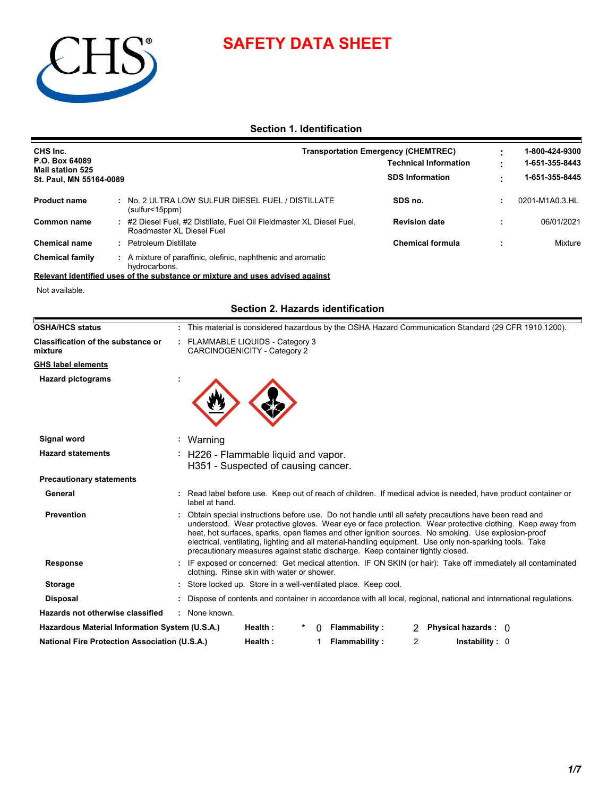# **SAFETY DATA SHEET**



## **Section 1. Identification**

| CHS Inc.                                  |  | <b>Transportation Emergency (CHEMTREC)</b>                                                       |                              |  | 1-800-424-9300 |
|-------------------------------------------|--|--------------------------------------------------------------------------------------------------|------------------------------|--|----------------|
| P.O. Box 64089<br><b>Mail station 525</b> |  |                                                                                                  | <b>Technical Information</b> |  |                |
| St. Paul, MN 55164-0089                   |  |                                                                                                  | <b>SDS Information</b>       |  | 1-651-355-8445 |
| <b>Product name</b>                       |  | No. 2 ULTRA LOW SULFUR DIESEL FUEL / DISTILLATE<br>(sulfur<15ppm)                                | SDS no.                      |  | 0201-M1A0.3.HL |
| Common name                               |  | #2 Diesel Fuel, #2 Distillate, Fuel Oil Fieldmaster XL Diesel Fuel,<br>Roadmaster XL Diesel Fuel | <b>Revision date</b>         |  | 06/01/2021     |
| <b>Chemical name</b>                      |  | <b>Petroleum Distillate</b>                                                                      | <b>Chemical formula</b>      |  | Mixture        |
| <b>Chemical family</b>                    |  | A mixture of paraffinic, olefinic, naphthenic and aromatic<br>hydrocarbons.                      |                              |  |                |

#### **Relevant identified uses of the substance or mixture and uses advised against**

Not available.

#### **Section 2. Hazards identification**

| <b>OSHA/HCS status</b>                               | : This material is considered hazardous by the OSHA Hazard Communication Standard (29 CFR 1910.1200).                                                                                                                                                                                                                                                                                                                                                                                                                    |
|------------------------------------------------------|--------------------------------------------------------------------------------------------------------------------------------------------------------------------------------------------------------------------------------------------------------------------------------------------------------------------------------------------------------------------------------------------------------------------------------------------------------------------------------------------------------------------------|
| Classification of the substance or<br>mixture        | : FLAMMABLE LIQUIDS - Category 3<br>CARCINOGENICITY - Category 2                                                                                                                                                                                                                                                                                                                                                                                                                                                         |
| <b>GHS label elements</b>                            |                                                                                                                                                                                                                                                                                                                                                                                                                                                                                                                          |
| <b>Hazard pictograms</b>                             |                                                                                                                                                                                                                                                                                                                                                                                                                                                                                                                          |
|                                                      |                                                                                                                                                                                                                                                                                                                                                                                                                                                                                                                          |
| Signal word                                          | Warning                                                                                                                                                                                                                                                                                                                                                                                                                                                                                                                  |
| <b>Hazard statements</b>                             | H226 - Flammable liquid and vapor.                                                                                                                                                                                                                                                                                                                                                                                                                                                                                       |
|                                                      | H351 - Suspected of causing cancer.                                                                                                                                                                                                                                                                                                                                                                                                                                                                                      |
| <b>Precautionary statements</b>                      |                                                                                                                                                                                                                                                                                                                                                                                                                                                                                                                          |
| General                                              | : Read label before use. Keep out of reach of children. If medical advice is needed, have product container or<br>label at hand.                                                                                                                                                                                                                                                                                                                                                                                         |
| <b>Prevention</b>                                    | Obtain special instructions before use. Do not handle until all safety precautions have been read and<br>understood. Wear protective gloves. Wear eye or face protection. Wear protective clothing. Keep away from<br>heat, hot surfaces, sparks, open flames and other ignition sources. No smoking. Use explosion-proof<br>electrical, ventilating, lighting and all material-handling equipment. Use only non-sparking tools. Take<br>precautionary measures against static discharge. Keep container tightly closed. |
| <b>Response</b>                                      | : IF exposed or concerned: Get medical attention. IF ON SKIN (or hair): Take off immediately all contaminated<br>clothing. Rinse skin with water or shower.                                                                                                                                                                                                                                                                                                                                                              |
| <b>Storage</b>                                       | Store locked up. Store in a well-ventilated place. Keep cool.                                                                                                                                                                                                                                                                                                                                                                                                                                                            |
| <b>Disposal</b>                                      | : Dispose of contents and container in accordance with all local, regional, national and international regulations.                                                                                                                                                                                                                                                                                                                                                                                                      |
| Hazards not otherwise classified                     | : None known.                                                                                                                                                                                                                                                                                                                                                                                                                                                                                                            |
| Hazardous Material Information System (U.S.A.)       | <b>Flammability:</b><br>Physical hazards : 0<br>Health:                                                                                                                                                                                                                                                                                                                                                                                                                                                                  |
| <b>National Fire Protection Association (U.S.A.)</b> | 2<br>Health:<br>Flammability:<br>In stability: 0                                                                                                                                                                                                                                                                                                                                                                                                                                                                         |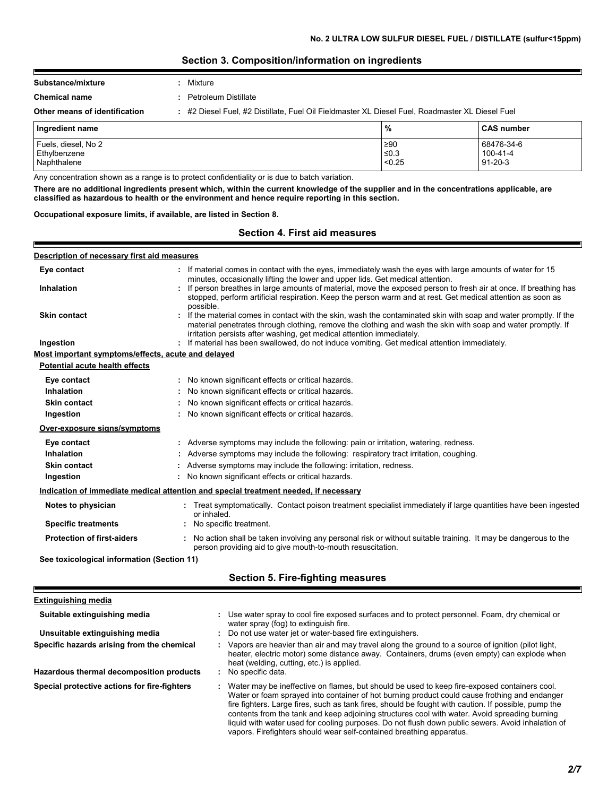#### **Section 3. Composition/information on ingredients**

| Ingredient name               |                                                                                               | $\frac{9}{6}$ | l CAS number |
|-------------------------------|-----------------------------------------------------------------------------------------------|---------------|--------------|
| Other means of identification | #2 Diesel Fuel, #2 Distillate, Fuel Oil Fieldmaster XL Diesel Fuel, Roadmaster XL Diesel Fuel |               |              |
| <b>Chemical name</b>          | Petroleum Distillate                                                                          |               |              |
| Substance/mixture             | Mixture                                                                                       |               |              |
|                               |                                                                                               |               |              |

| Tingredient name    | 70         | ⊦∪A5 number   |
|---------------------|------------|---------------|
| Fuels, diesel, No 2 | ≥90        | 68476-34-6    |
| Ethylbenzene        | $\leq 0.3$ | 100-41-4      |
| Naphthalene         | < 0.25     | $91 - 20 - 3$ |

Any concentration shown as a range is to protect confidentiality or is due to batch variation.

**There are no additional ingredients present which, within the current knowledge of the supplier and in the concentrations applicable, are classified as hazardous to health or the environment and hence require reporting in this section.**

#### **Occupational exposure limits, if available, are listed in Section 8.**

#### **Section 4. First aid measures**

#### **Ingestion blue computer of the state of the symbology of the symbology of the state of the state of the state of the state of the state of the state of the state of the state of the state of the state of the state of th** If material comes in contact with the eyes, immediately wash the eyes with large amounts of water for 15 **:** minutes, occasionally lifting the lower and upper lids. Get medical attention. If the material comes in contact with the skin, wash the contaminated skin with soap and water promptly. If the **:** material penetrates through clothing, remove the clothing and wash the skin with soap and water promptly. If irritation persists after washing, get medical attention immediately. If person breathes in large amounts of material, move the exposed person to fresh air at once. If breathing has **:** stopped, perform artificial respiration. Keep the person warm and at rest. Get medical attention as soon as possible. **Eye contact Skin contact Inhalation Protection of first-aiders :** No action shall be taken involving any personal risk or without suitable training. It may be dangerous to the person providing aid to give mouth-to-mouth resuscitation. **Notes to physician :** Treat symptomatically. Contact poison treatment specialist immediately if large quantities have been ingested or inhaled. **Description of necessary first aid measures Specific treatments :** No specific treatment. **Most important symptoms/effects, acute and delayed Inhalation :** No known significant effects or critical hazards. **Ingestion :** No known significant effects or critical hazards. **Skin contact in the contact :** No known significant effects or critical hazards. **Eye contact :** No known significant effects or critical hazards. **Over-exposure signs/symptoms Skin contact Ingestion Inhalation Adverse symptoms may include the following: respiratory tract irritation, coughing.**  $\blacksquare$ No known significant effects or critical hazards. **:** Adverse symptoms may include the following: irritation, redness. **: Eye contact :** Adverse symptoms may include the following: pain or irritation, watering, redness. **Potential acute health effects See toxicological information (Section 11) Indication of immediate medical attention and special treatment needed, if necessary Section 5. Fire-fighting measures Extinguishing media**

| Suitable extinguishing media<br>Unsuitable extinguishing media                         | Use water spray to cool fire exposed surfaces and to protect personnel. Foam, dry chemical or<br>water spray (fog) to extinguish fire.<br>Do not use water jet or water-based fire extinguishers.                                                                                                                                                                                                                                                                                                                                                                                   |
|----------------------------------------------------------------------------------------|-------------------------------------------------------------------------------------------------------------------------------------------------------------------------------------------------------------------------------------------------------------------------------------------------------------------------------------------------------------------------------------------------------------------------------------------------------------------------------------------------------------------------------------------------------------------------------------|
| Specific hazards arising from the chemical<br>Hazardous thermal decomposition products | Vapors are heavier than air and may travel along the ground to a source of ignition (pilot light,<br>heater, electric motor) some distance away. Containers, drums (even empty) can explode when<br>heat (welding, cutting, etc.) is applied.<br>No specific data.                                                                                                                                                                                                                                                                                                                  |
|                                                                                        |                                                                                                                                                                                                                                                                                                                                                                                                                                                                                                                                                                                     |
| Special protective actions for fire-fighters                                           | Water may be ineffective on flames, but should be used to keep fire-exposed containers cool.<br>Water or foam sprayed into container of hot burning product could cause frothing and endanger<br>fire fighters. Large fires, such as tank fires, should be fought with caution. If possible, pump the<br>contents from the tank and keep adjoining structures cool with water. Avoid spreading burning<br>liquid with water used for cooling purposes. Do not flush down public sewers. Avoid inhalation of<br>vapors. Firefighters should wear self-contained breathing apparatus. |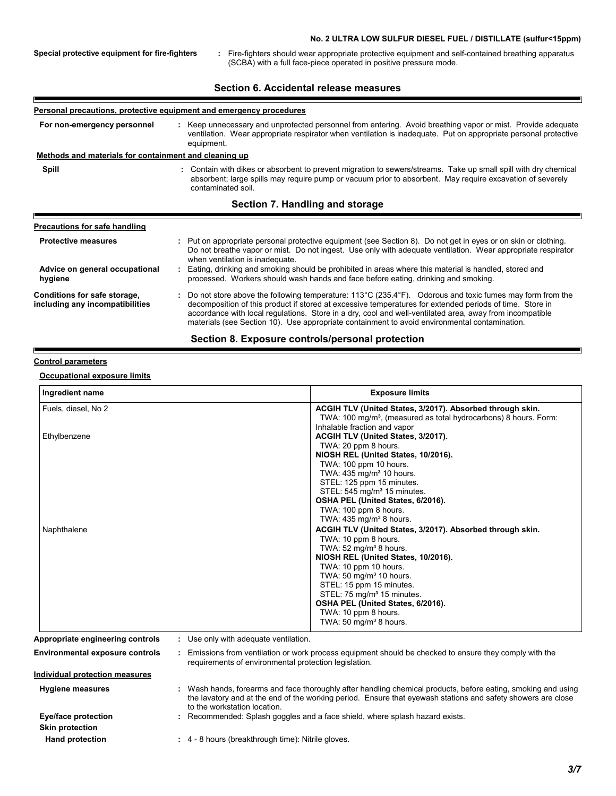#### **No. 2 ULTRA LOW SULFUR DIESEL FUEL / DISTILLATE (sulfur<15ppm)**

**Special protective equipment for fire-fighters :**

Fire-fighters should wear appropriate protective equipment and self-contained breathing apparatus (SCBA) with a full face-piece operated in positive pressure mode.

#### **Section 6. Accidental release measures**

#### **Personal precautions, protective equipment and emergency procedures**

**:** Keep unnecessary and unprotected personnel from entering. Avoid breathing vapor or mist. Provide adequate ventilation. Wear appropriate respirator when ventilation is inadequate. Put on appropriate personal protective equipment. **For non-emergency personnel**

# **Example 1 Methods and materials for containment and cleaning up**<br>**Spill :** Contain with dike

**Spill**

Contain with dikes or absorbent to prevent migration to sewers/streams. Take up small spill with dry chemical absorbent; large spills may require pump or vacuum prior to absorbent. May require excavation of severely contaminated soil.

#### **Section 7. Handling and storage**

| <b>Precautions for safe handling</b>                            |                                                                                                                                                                                                                                                                                                                                                                                                                                                          |
|-----------------------------------------------------------------|----------------------------------------------------------------------------------------------------------------------------------------------------------------------------------------------------------------------------------------------------------------------------------------------------------------------------------------------------------------------------------------------------------------------------------------------------------|
| <b>Protective measures</b>                                      | : Put on appropriate personal protective equipment (see Section 8). Do not get in eyes or on skin or clothing.<br>Do not breathe vapor or mist. Do not ingest. Use only with adequate ventilation. Wear appropriate respirator<br>when ventilation is inadequate.                                                                                                                                                                                        |
| Advice on general occupational<br>hygiene                       | Eating, drinking and smoking should be prohibited in areas where this material is handled, stored and<br>processed. Workers should wash hands and face before eating, drinking and smoking.                                                                                                                                                                                                                                                              |
| Conditions for safe storage,<br>including any incompatibilities | : Do not store above the following temperature: $113^{\circ}$ C (235.4 $^{\circ}$ F). Odorous and toxic fumes may form from the<br>decomposition of this product if stored at excessive temperatures for extended periods of time. Store in<br>accordance with local regulations. Store in a dry, cool and well-ventilated area, away from incompatible<br>materials (see Section 10). Use appropriate containment to avoid environmental contamination. |

#### **Section 8. Exposure controls/personal protection**

#### **Control parameters**

#### **Occupational exposure limits**

| Ingredient name                  | <b>Exposure limits</b>                                                                                                                                         |
|----------------------------------|----------------------------------------------------------------------------------------------------------------------------------------------------------------|
| Fuels, diesel, No 2              | ACGIH TLV (United States, 3/2017). Absorbed through skin.                                                                                                      |
|                                  | TWA: 100 mg/m <sup>3</sup> , (measured as total hydrocarbons) 8 hours. Form:                                                                                   |
|                                  | Inhalable fraction and vapor                                                                                                                                   |
| Ethylbenzene                     | ACGIH TLV (United States, 3/2017).                                                                                                                             |
|                                  | TWA: 20 ppm 8 hours.                                                                                                                                           |
|                                  | NIOSH REL (United States, 10/2016).                                                                                                                            |
|                                  | TWA: 100 ppm 10 hours.                                                                                                                                         |
|                                  | TWA: 435 mg/m <sup>3</sup> 10 hours.                                                                                                                           |
|                                  | STEL: 125 ppm 15 minutes.                                                                                                                                      |
|                                  | STEL: 545 mg/m <sup>3</sup> 15 minutes.                                                                                                                        |
|                                  | OSHA PEL (United States, 6/2016).                                                                                                                              |
|                                  | TWA: 100 ppm 8 hours.                                                                                                                                          |
|                                  | TWA: $435 \text{ mg/m}^3$ 8 hours.                                                                                                                             |
| Naphthalene                      | ACGIH TLV (United States, 3/2017). Absorbed through skin.                                                                                                      |
|                                  | TWA: 10 ppm 8 hours.                                                                                                                                           |
|                                  | TWA: $52 \text{ mg/m}^3$ 8 hours.                                                                                                                              |
|                                  | NIOSH REL (United States, 10/2016).                                                                                                                            |
|                                  | TWA: 10 ppm 10 hours.                                                                                                                                          |
|                                  | TWA: 50 mg/m <sup>3</sup> 10 hours.                                                                                                                            |
|                                  | STEL: 15 ppm 15 minutes.                                                                                                                                       |
|                                  | STEL: 75 mg/m <sup>3</sup> 15 minutes.                                                                                                                         |
|                                  | OSHA PEL (United States, 6/2016).                                                                                                                              |
|                                  | TWA: 10 ppm 8 hours.                                                                                                                                           |
|                                  | TWA: 50 mg/m <sup>3</sup> 8 hours.                                                                                                                             |
| Appropriate engineering controls | Use only with adequate ventilation.                                                                                                                            |
| Environmental exposure controls  | Emissions from ventilation or work process equipment should be checked to ensure they comply with the<br>requirements of environmental protection legislation. |
| Individual protection measures   |                                                                                                                                                                |

**Hand protection 1988 :** 4 - 8 hours (breakthrough time): Nitrile gloves.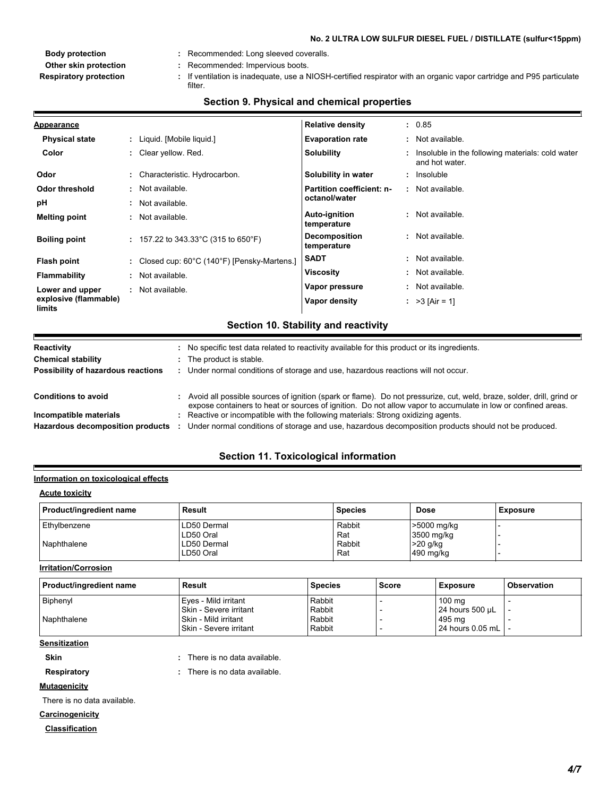#### **No. 2 ULTRA LOW SULFUR DIESEL FUEL / DISTILLATE (sulfur<15ppm)**

- 
- **Other skin protection :** Recommended: Impervious boots.
- If ventilation is inadequate, use a NIOSH-certified respirator with an organic vapor cartridge and P95 particulate **Respiratory protection : Body protection :** Recommended: Long sleeved coveralls. filter.

| <b>Appearance</b>               |                                                                   | <b>Relative density</b>              | : 0.85                                                               |
|---------------------------------|-------------------------------------------------------------------|--------------------------------------|----------------------------------------------------------------------|
| <b>Physical state</b>           | : Liquid. [Mobile liquid.]                                        | <b>Evaporation rate</b>              | : Not available.                                                     |
| Color                           | : Clear yellow. Red.                                              | <b>Solubility</b>                    | : Insoluble in the following materials: cold water<br>and hot water. |
| Odor                            | : Characteristic. Hydrocarbon.                                    | Solubility in water                  | : Insoluble                                                          |
| Odor threshold                  | : Not available.                                                  | Partition coefficient: n-            | : Not available.                                                     |
| pH                              | : Not available.                                                  | octanol/water                        |                                                                      |
| <b>Melting point</b>            | : Not available.                                                  | <b>Auto-ignition</b><br>temperature  | : Not available.                                                     |
| <b>Boiling point</b>            | : 157.22 to 343.33 °C (315 to 650 °F)                             | <b>Decomposition</b><br>temperature  | : Not available.                                                     |
| Flash point                     | : Closed cup: $60^{\circ}$ C (140 $^{\circ}$ F) [Pensky-Martens.] | <b>SADT</b>                          | : Not available.                                                     |
| Flammability                    | : Not available.                                                  | <b>Viscosity</b>                     | : Not available.                                                     |
| Lower and upper                 | : Not available.                                                  | Vapor pressure                       | : Not available.                                                     |
| explosive (flammable)<br>limits |                                                                   | Vapor density                        | : $>3$ [Air = 1]                                                     |
|                                 |                                                                   | Section 10. Stability and reactivity |                                                                      |

#### **Section 9. Physical and chemical properties**

| <b>Chemical stability</b>          | : The product is stable.                                                                                                                                                                                                                |
|------------------------------------|-----------------------------------------------------------------------------------------------------------------------------------------------------------------------------------------------------------------------------------------|
| Possibility of hazardous reactions | : Under normal conditions of storage and use, hazardous reactions will not occur.                                                                                                                                                       |
|                                    |                                                                                                                                                                                                                                         |
| <b>Conditions to avoid</b>         | : Avoid all possible sources of ignition (spark or flame). Do not pressurize, cut, weld, braze, solder, drill, grind or<br>expose containers to heat or sources of ignition. Do not allow vapor to accumulate in low or confined areas. |
| Incompatible materials             | : Reactive or incompatible with the following materials: Strong oxidizing agents.                                                                                                                                                       |
| Hazardous decomposition products   | Under normal conditions of storage and use, hazardous decomposition products should not be produced.                                                                                                                                    |

## **Section 11. Toxicological information**

#### **Information on toxicological effects**

#### **Acute toxicity**

E

| Product/ingredient name | Result      | <b>Species</b> | <b>Dose</b> | <b>Exposure</b> |
|-------------------------|-------------|----------------|-------------|-----------------|
| Ethylbenzene            | LD50 Dermal | Rabbit         | >5000 mg/kg |                 |
|                         | LD50 Oral   | Rat            | 3500 mg/kg  |                 |
| Naphthalene             | LD50 Dermal | Rabbit         | $>20$ g/kg  |                 |
|                         | LD50 Oral   | Rat            | 490 mg/kg   |                 |

#### **Irritation/Corrosion**

| Product/ingredient name | Result                 | <b>Species</b> | <b>Score</b> | <b>Exposure</b>  | <b>Observation</b> |
|-------------------------|------------------------|----------------|--------------|------------------|--------------------|
| <b>Biphenvl</b>         | Eyes - Mild irritant   | Rabbit         |              | 100 ma           |                    |
|                         | Skin - Severe irritant | Rabbit         |              | 24 hours 500 µL  |                    |
| Naphthalene             | Skin - Mild irritant   | Rabbit         |              | 495 ma           |                    |
|                         | Skin - Severe irritant | Rabbit         |              | 24 hours 0.05 mL |                    |

#### **Sensitization**

**Skin :** There is no data available.

**Respiratory :** There is no data available. There is no data available.

**Mutagenicity**

There is no data available.

#### **Carcinogenicity**

**Classification**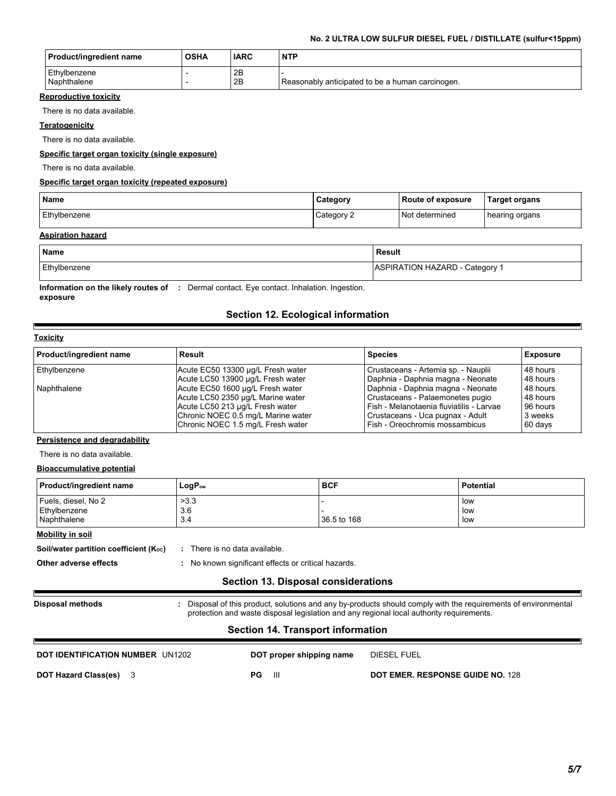#### **No. 2 ULTRA LOW SULFUR DIESEL FUEL / DISTILLATE (sulfur<15ppm)**

| <b>Product/ingredient name</b> | <b>OSHA</b> | <b>IARC</b> | <b>NTP</b>                                       |
|--------------------------------|-------------|-------------|--------------------------------------------------|
| Ethylbenzene<br>Naphthalene    |             | 2B<br>2B    | Reasonably anticipated to be a human carcinogen. |

#### **Reproductive toxicity**

There is no data available.

#### **Teratogenicity**

There is no data available.

#### **Specific target organ toxicity (single exposure)**

There is no data available.

#### **Specific target organ toxicity (repeated exposure)**

| <b>Name</b>  | Category | Route of exposure | <b>Target organs</b> |
|--------------|----------|-------------------|----------------------|
| Ethylbenzene | Category | Not determined    | hearing organs       |

#### **Aspiration hazard**

| <b>Name</b>  | Result                         |
|--------------|--------------------------------|
| Ethylbenzene | ASPIRATION HAZARD - Category 1 |

#### **Information on the likely routes of :** Dermal contact. Eye contact. Inhalation. Ingestion. **exposure**

### **Section 12. Ecological information**

#### **Toxicity**

E

| Product/ingredient name | Result                             | <b>Species</b>                           | <b>Exposure</b> |
|-------------------------|------------------------------------|------------------------------------------|-----------------|
| Ethylbenzene            | Acute EC50 13300 µg/L Fresh water  | Crustaceans - Artemia sp. - Nauplii      | 48 hours        |
|                         | Acute LC50 13900 µg/L Fresh water  | Daphnia - Daphnia magna - Neonate        | 48 hours        |
| Naphthalene             | Acute EC50 1600 µg/L Fresh water   | Daphnia - Daphnia magna - Neonate        | 48 hours        |
|                         | Acute LC50 2350 µg/L Marine water  | Crustaceans - Palaemonetes pugio         | 48 hours        |
|                         | Acute LC50 213 µg/L Fresh water    | Fish - Melanotaenia fluviatilis - Larvae | 96 hours        |
|                         | Chronic NOEC 0.5 mg/L Marine water | Crustaceans - Uca pugnax - Adult         | 3 weeks         |
|                         | Chronic NOEC 1.5 mg/L Fresh water  | Fish - Oreochromis mossambicus           | 60 days         |

#### **Persistence and degradability**

There is no data available.

#### **Bioaccumulative potential**

| <b>Product/ingredient name</b>                                                                                                                                                                                                        | $LogP_{ow}$                                         | <b>BCF</b>                          | <b>Potential</b> |
|---------------------------------------------------------------------------------------------------------------------------------------------------------------------------------------------------------------------------------------|-----------------------------------------------------|-------------------------------------|------------------|
| Fuels, diesel, No 2                                                                                                                                                                                                                   | >3.3                                                |                                     | low              |
| Ethylbenzene                                                                                                                                                                                                                          | 3.6                                                 |                                     | low              |
| Naphthalene                                                                                                                                                                                                                           | 3.4                                                 | 36.5 to 168                         | low              |
| Mobility in soil                                                                                                                                                                                                                      |                                                     |                                     |                  |
| Soil/water partition coefficient $(K_{\text{oc}})$                                                                                                                                                                                    | : There is no data available.                       |                                     |                  |
| Other adverse effects                                                                                                                                                                                                                 | : No known significant effects or critical hazards. |                                     |                  |
|                                                                                                                                                                                                                                       |                                                     | Section 13. Disposal considerations |                  |
| : Disposal of this product, solutions and any by-products should comply with the requirements of environmental<br><b>Disposal methods</b><br>protection and waste disposal legislation and any regional local authority requirements. |                                                     |                                     |                  |
|                                                                                                                                                                                                                                       |                                                     |                                     |                  |

#### 3 **DOT Hazard Class(es) PG** III **DOT EMER. RESPONSE GUIDE NO.** 128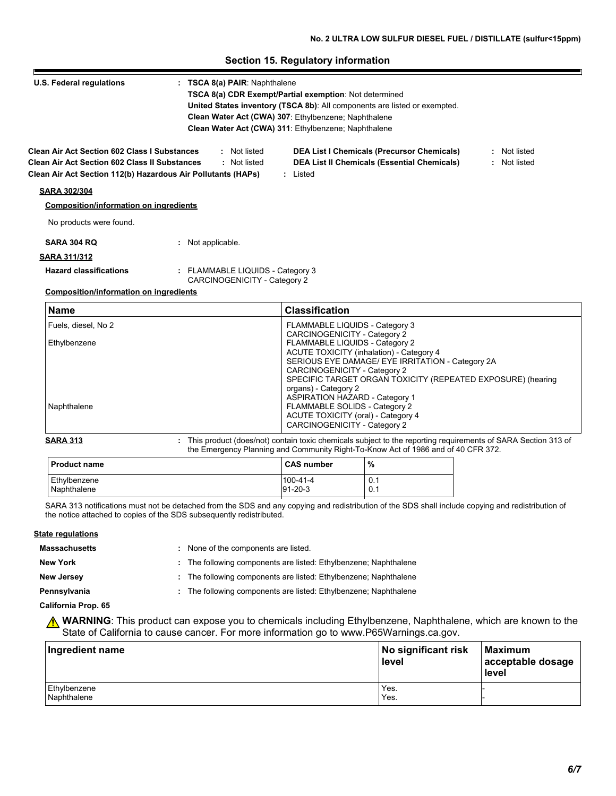#### **Section 15. Regulatory information**

| U.S. Federal regulations                                     | : TSCA 8(a) PAIR: Naphthalene                                           | <b>TSCA 8(a) CDR Exempt/Partial exemption: Not determined</b><br>United States inventory (TSCA 8b): All components are listed or exempted.<br>Clean Water Act (CWA) 307: Ethylbenzene; Naphthalene<br>Clean Water Act (CWA) 311: Ethylbenzene; Naphthalene |              |
|--------------------------------------------------------------|-------------------------------------------------------------------------|------------------------------------------------------------------------------------------------------------------------------------------------------------------------------------------------------------------------------------------------------------|--------------|
| <b>Clean Air Act Section 602 Class I Substances</b>          | : Not listed                                                            | <b>DEA List I Chemicals (Precursor Chemicals)</b>                                                                                                                                                                                                          | : Not listed |
| <b>Clean Air Act Section 602 Class II Substances</b>         | : Not listed                                                            | <b>DEA List II Chemicals (Essential Chemicals)</b>                                                                                                                                                                                                         | : Not listed |
| Clean Air Act Section 112(b) Hazardous Air Pollutants (HAPs) |                                                                         | : Listed                                                                                                                                                                                                                                                   |              |
| <b>SARA 302/304</b>                                          |                                                                         |                                                                                                                                                                                                                                                            |              |
| <b>Composition/information on ingredients</b>                |                                                                         |                                                                                                                                                                                                                                                            |              |
| No products were found.                                      |                                                                         |                                                                                                                                                                                                                                                            |              |
| <b>SARA 304 RQ</b>                                           | : Not applicable.                                                       |                                                                                                                                                                                                                                                            |              |
| <b>SARA 311/312</b>                                          |                                                                         |                                                                                                                                                                                                                                                            |              |
| <b>Hazard classifications</b>                                | : FLAMMABLE LIQUIDS - Category 3<br><b>CARCINOGENICITY - Category 2</b> |                                                                                                                                                                                                                                                            |              |
| <b>Composition/information on ingredients</b>                |                                                                         |                                                                                                                                                                                                                                                            |              |
| <b>Name</b>                                                  |                                                                         | <b>Classification</b>                                                                                                                                                                                                                                      |              |

| l Name              | <b>Classification</b>                                       |
|---------------------|-------------------------------------------------------------|
| Fuels, diesel, No 2 | FLAMMABLE LIQUIDS - Category 3                              |
|                     | CARCINOGENICITY - Category 2                                |
| Ethylbenzene        | FLAMMABLE LIQUIDS - Category 2                              |
|                     | ACUTE TOXICITY (inhalation) - Category 4                    |
|                     | SERIOUS EYE DAMAGE/ EYE IRRITATION - Category 2A            |
|                     | CARCINOGENICITY - Category 2                                |
|                     | SPECIFIC TARGET ORGAN TOXICITY (REPEATED EXPOSURE) (hearing |
|                     | organs) - Category 2                                        |
|                     | <b>ASPIRATION HAZARD - Category 1</b>                       |
| Naphthalene         | FLAMMABLE SOLIDS - Category 2                               |
|                     | ACUTE TOXICITY (oral) - Category 4                          |
|                     | CARCINOGENICITY - Category 2                                |
|                     |                                                             |

#### **SARA 313** This product (does/not) contain toxic chemicals subject to the reporting requirements of SARA Section 313 of the Emergency Planning and Community Right-To-Know Act of 1986 and of 40 CFR 372. **:**

| l Product name | <b>CAS number</b> | %   |
|----------------|-------------------|-----|
| Ethylbenzene   | $100-41-4$        | 0.1 |
| Naphthalene    | $91 - 20 - 3$     | 0.1 |

SARA 313 notifications must not be detached from the SDS and any copying and redistribution of the SDS shall include copying and redistribution of the notice attached to copies of the SDS subsequently redistributed.

#### **State regulations**

- **Massachusetts**
- None of the components are listed. **:**
- 
- **New York :** The following components are listed: Ethylbenzene; Naphthalene
- 
- **New Jersey :** The following components are listed: Ethylbenzene; Naphthalene
- 
- **Pennsylvania :** The following components are listed: Ethylbenzene; Naphthalene

#### **California Prop. 65**

**A WARNING**: This product can expose you to chemicals including Ethylbenzene, Naphthalene, which are known to the State of California to cause cancer. For more information go to www.P65Warnings.ca.gov.

| Ingredient name             | No significant risk<br>level | Maximum<br>acceptable dosage<br>level |  |
|-----------------------------|------------------------------|---------------------------------------|--|
| Ethylbenzene<br>Naphthalene | Yes.<br>Yes.                 |                                       |  |